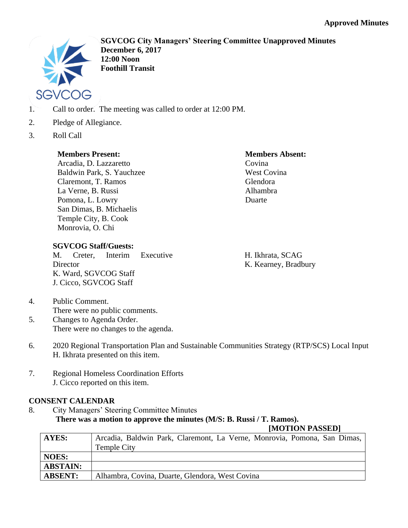

**SGVCOG City Managers' Steering Committee Unapproved Minutes December 6, 2017 12:00 Noon Foothill Transit**

- 1. Call to order. The meeting was called to order at 12:00 PM.
- 2. Pledge of Allegiance.
- 3. Roll Call

## **Members Present:**

Arcadia, D. Lazzaretto Baldwin Park, S. Yauchzee Claremont, T. Ramos La Verne, B. Russi Pomona, L. Lowry San Dimas, B. Michaelis Temple City, B. Cook Monrovia, O. Chi

### **Members Absent:** Covina

West Covina Glendora Alhambra Duarte

M. Creter, Interim Executive **Director** K. Ward, SGVCOG Staff J. Cicco, SGVCOG Staff

H. Ikhrata, SCAG K. Kearney, Bradbury

4. Public Comment. There were no public comments.

**SGVCOG Staff/Guests:**

- 5. Changes to Agenda Order. There were no changes to the agenda.
- 6. 2020 Regional Transportation Plan and Sustainable Communities Strategy (RTP/SCS) Local Input H. Ikhrata presented on this item.
- 7. Regional Homeless Coordination Efforts J. Cicco reported on this item.

## **CONSENT CALENDAR**

8. City Managers' Steering Committee Minutes **There was a motion to approve the minutes (M/S: B. Russi / T. Ramos).**

## **[MOTION PASSED]**

| <b>AYES:</b>    | Arcadia, Baldwin Park, Claremont, La Verne, Monrovia, Pomona, San Dimas, |
|-----------------|--------------------------------------------------------------------------|
|                 | <b>Temple City</b>                                                       |
| <b>NOES:</b>    |                                                                          |
| <b>ABSTAIN:</b> |                                                                          |
| <b>ABSENT:</b>  | Alhambra, Covina, Duarte, Glendora, West Covina                          |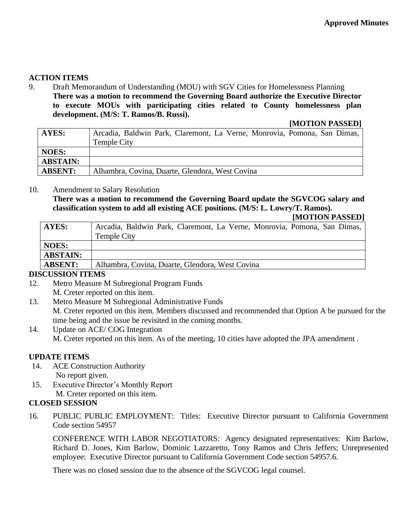## **ACTION ITEMS**

9. Draft Memorandum of Understanding (MOU) with SGV Cities for Homelessness Planning **There was a motion to recommend the Governing Board authorize the Executive Director to execute MOUs with participating cities related to County homelessness plan development. (M/S: T. Ramos/B. Russi).**

**[MOTION PASSED]**

| <b>AYES:</b>    | Arcadia, Baldwin Park, Claremont, La Verne, Monrovia, Pomona, San Dimas, |
|-----------------|--------------------------------------------------------------------------|
|                 | Temple City                                                              |
| <b>NOES:</b>    |                                                                          |
| <b>ABSTAIN:</b> |                                                                          |
| <b>ABSENT:</b>  | Alhambra, Covina, Duarte, Glendora, West Covina                          |

# 10. Amendment to Salary Resolution

**There was a motion to recommend the Governing Board update the SGVCOG salary and classification system to add all existing ACE positions. (M/S: L. Lowry/T. Ramos).**

#### **[MOTION PASSED]**

| AYES:           | Arcadia, Baldwin Park, Claremont, La Verne, Monrovia, Pomona, San Dimas, |
|-----------------|--------------------------------------------------------------------------|
|                 | Temple City                                                              |
| NOES:           |                                                                          |
| <b>ABSTAIN:</b> |                                                                          |
| <b>ABSENT:</b>  | Alhambra, Covina, Duarte, Glendora, West Covina                          |

### **DISCUSSION ITEMS**

- 12. Metro Measure M Subregional Program Funds M. Creter reported on this item.
- 13. Metro Measure M Subregional Administrative Funds M. Creter reported on this item. Members discussed and recommended that Option A be pursued for the time being and the issue be revisited in the coming months.
- 14. Update on ACE/ COG Integration M. Creter reported on this item. As of the meeting, 10 cities have adopted the JPA amendment .

### **UPDATE ITEMS**

- 14. ACE Construction Authority No report given.
- 15. Executive Director's Monthly Report M. Creter reported on this item.

### **CLOSED SESSION**

16. PUBLIC PUBLIC EMPLOYMENT: Titles: Executive Director pursuant to California Government Code section 54957

CONFERENCE WITH LABOR NEGOTIATORS: Agency designated representatives: Kim Barlow, Richard D. Jones, Kim Barlow, Dominic Lazzaretto, Tony Ramos and Chris Jeffers; Unrepresented employee: Executive Director pursuant to California Government Code section 54957.6.

There was no closed session due to the absence of the SGVCOG legal counsel.